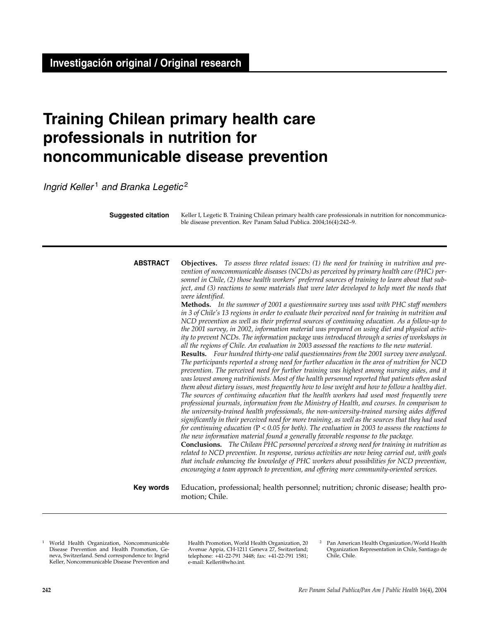# **Training Chilean primary health care professionals in nutrition for noncommunicable disease prevention**

*Ingrid Keller* <sup>1</sup> *and Branka Legetic* <sup>2</sup>

Keller I, Legetic B. Training Chilean primary health care professionals in nutrition for noncommunicable disease prevention. Rev Panam Salud Publica. 2004;16(4):242–9. **Suggested citation**

**Objectives.** *To assess three related issues: (1) the need for training in nutrition and prevention of noncommunicable diseases (NCDs) as perceived by primary health care (PHC) personnel in Chile, (2) those health workers' preferred sources of training to learn about that subject, and (3) reactions to some materials that were later developed to help meet the needs that were identified.*  **ABSTRACT**

> **Methods.** *In the summer of 2001 a questionnaire survey was used with PHC staff members in 3 of Chile's 13 regions in order to evaluate their perceived need for training in nutrition and NCD prevention as well as their preferred sources of continuing education. As a follow-up to the 2001 survey, in 2002, information material was prepared on using diet and physical activity to prevent NCDs. The information package was introduced through a series of workshops in all the regions of Chile. An evaluation in 2003 assessed the reactions to the new material.*

> **Results.** *Four hundred thirty-one valid questionnaires from the 2001 survey were analyzed. The participants reported a strong need for further education in the area of nutrition for NCD prevention. The perceived need for further training was highest among nursing aides, and it was lowest among nutritionists. Most of the health personnel reported that patients often asked them about dietary issues, most frequently how to lose weight and how to follow a healthy diet. The sources of continuing education that the health workers had used most frequently were professional journals, information from the Ministry of Health, and courses. In comparison to the university-trained health professionals, the non-university-trained nursing aides differed significantly in their perceived need for more training, as well as the sources that they had used for continuing education (*P < *0.05 for both). The evaluation in 2003 to assess the reactions to the new information material found a generally favorable response to the package.*

> **Conclusions.** *The Chilean PHC personnel perceived a strong need for training in nutrition as related to NCD prevention. In response, various activities are now being carried out, with goals that include enhancing the knowledge of PHC workers about possibilities for NCD prevention, encouraging a team approach to prevention, and offering more community-oriented services.*

### **Key words**

Education, professional; health personnel; nutrition; chronic disease; health promotion; Chile.

<sup>1</sup> World Health Organization, Noncommunicable Disease Prevention and Health Promotion, Geneva, Switzerland. Send correspondence to: Ingrid Keller, Noncommunicable Disease Prevention and Health Promotion, World Health Organization, 20 Avenue Appia, CH-1211 Geneva 27, Switzerland; telephone: +41-22-791 3448; fax: +41-22-791 1581; e-mail: Kelleri@who.int.

<sup>2</sup> Pan American Health Organization/World Health Organization Representation in Chile, Santiago de Chile, Chile.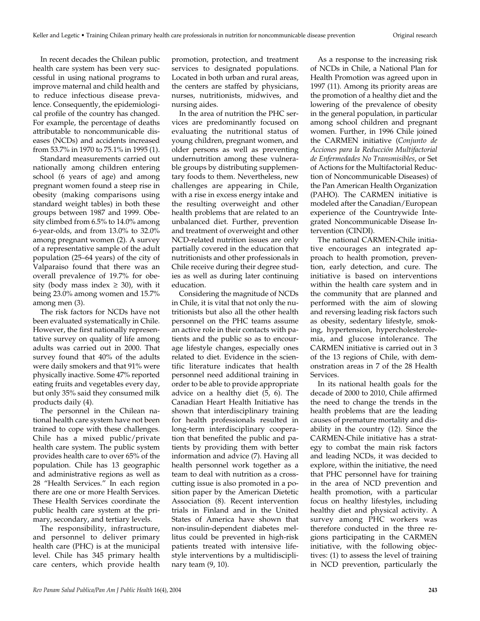In recent decades the Chilean public health care system has been very successful in using national programs to improve maternal and child health and to reduce infectious disease prevalence. Consequently, the epidemiological profile of the country has changed. For example, the percentage of deaths attributable to noncommunicable diseases (NCDs) and accidents increased from 53.7% in 1970 to 75.1% in 1995 (1).

Standard measurements carried out nationally among children entering school (6 years of age) and among pregnant women found a steep rise in obesity (making comparisons using standard weight tables) in both these groups between 1987 and 1999. Obesity climbed from 6.5% to 14.0% among 6-year-olds, and from 13.0% to 32.0% among pregnant women (2). A survey of a representative sample of the adult population (25–64 years) of the city of Valparaiso found that there was an overall prevalence of 19.7% for obesity (body mass index  $\geq$  30), with it being 23.0% among women and 15.7% among men (3).

The risk factors for NCDs have not been evaluated systematically in Chile. However, the first nationally representative survey on quality of life among adults was carried out in 2000. That survey found that 40% of the adults were daily smokers and that 91% were physically inactive. Some 47% reported eating fruits and vegetables every day, but only 35% said they consumed milk products daily (4).

The personnel in the Chilean national health care system have not been trained to cope with these challenges. Chile has a mixed public/private health care system. The public system provides health care to over 65% of the population. Chile has 13 geographic and administrative regions as well as 28 "Health Services." In each region there are one or more Health Services. These Health Services coordinate the public health care system at the primary, secondary, and tertiary levels.

The responsibility, infrastructure, and personnel to deliver primary health care (PHC) is at the municipal level. Chile has 345 primary health care centers, which provide health

promotion, protection, and treatment services to designated populations. Located in both urban and rural areas, the centers are staffed by physicians, nurses, nutritionists, midwives, and nursing aides.

In the area of nutrition the PHC services are predominantly focused on evaluating the nutritional status of young children, pregnant women, and older persons as well as preventing undernutrition among these vulnerable groups by distributing supplementary foods to them. Nevertheless, new challenges are appearing in Chile, with a rise in excess energy intake and the resulting overweight and other health problems that are related to an unbalanced diet. Further, prevention and treatment of overweight and other NCD-related nutrition issues are only partially covered in the education that nutritionists and other professionals in Chile receive during their degree studies as well as during later continuing education.

Considering the magnitude of NCDs in Chile, it is vital that not only the nutritionists but also all the other health personnel on the PHC teams assume an active role in their contacts with patients and the public so as to encourage lifestyle changes, especially ones related to diet. Evidence in the scientific literature indicates that health personnel need additional training in order to be able to provide appropriate advice on a healthy diet (5, 6). The Canadian Heart Health Initiative has shown that interdisciplinary training for health professionals resulted in long-term interdisciplinary cooperation that benefited the public and patients by providing them with better information and advice (7). Having all health personnel work together as a team to deal with nutrition as a crosscutting issue is also promoted in a position paper by the American Dietetic Association (8). Recent intervention trials in Finland and in the United States of America have shown that non-insulin-dependent diabetes mellitus could be prevented in high-risk patients treated with intensive lifestyle interventions by a multidisciplinary team (9, 10).

As a response to the increasing risk of NCDs in Chile, a National Plan for Health Promotion was agreed upon in 1997 (11). Among its priority areas are the promotion of a healthy diet and the lowering of the prevalence of obesity in the general population, in particular among school children and pregnant women. Further, in 1996 Chile joined the CARMEN initiative (*Conjunto de Acciones para la Reducción Multifactorial de Enfermedades No Transmisibles*, or Set of Actions for the Multifactorial Reduction of Noncommunicable Diseases) of the Pan American Health Organization (PAHO). The CARMEN initiative is modeled after the Canadian/European experience of the Countrywide Integrated Noncommunicable Disease Intervention (CINDI).

The national CARMEN-Chile initiative encourages an integrated approach to health promotion, prevention, early detection, and cure. The initiative is based on interventions within the health care system and in the community that are planned and performed with the aim of slowing and reversing leading risk factors such as obesity, sedentary lifestyle, smoking, hypertension, hypercholesterolemia, and glucose intolerance. The CARMEN initiative is carried out in 3 of the 13 regions of Chile, with demonstration areas in 7 of the 28 Health Services.

In its national health goals for the decade of 2000 to 2010, Chile affirmed the need to change the trends in the health problems that are the leading causes of premature mortality and disability in the country (12). Since the CARMEN-Chile initiative has a strategy to combat the main risk factors and leading NCDs, it was decided to explore, within the initiative, the need that PHC personnel have for training in the area of NCD prevention and health promotion, with a particular focus on healthy lifestyles, including healthy diet and physical activity. A survey among PHC workers was therefore conducted in the three regions participating in the CARMEN initiative, with the following objectives: (1) to assess the level of training in NCD prevention, particularly the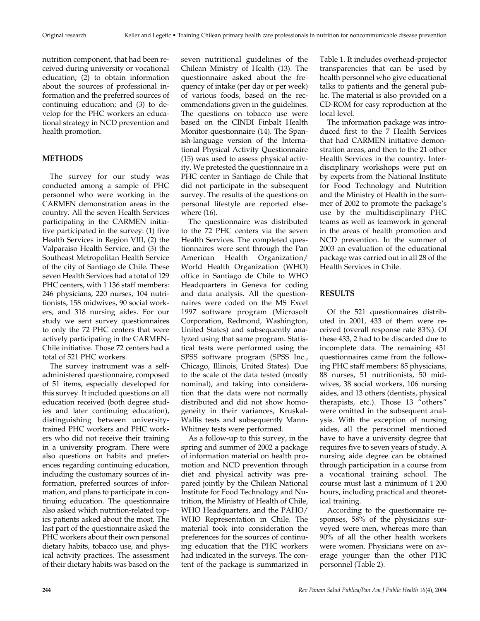nutrition component, that had been received during university or vocational education; (2) to obtain information about the sources of professional information and the preferred sources of continuing education; and (3) to develop for the PHC workers an educational strategy in NCD prevention and health promotion.

# **METHODS**

The survey for our study was conducted among a sample of PHC personnel who were working in the CARMEN demonstration areas in the country. All the seven Health Services participating in the CARMEN initiative participated in the survey: (1) five Health Services in Region VIII, (2) the Valparaiso Health Service, and (3) the Southeast Metropolitan Health Service of the city of Santiago de Chile. These seven Health Services had a total of 129 PHC centers, with 1 136 staff members: 246 physicians, 220 nurses, 104 nutritionists, 158 midwives, 90 social workers, and 318 nursing aides. For our study we sent survey questionnaires to only the 72 PHC centers that were actively participating in the CARMEN-Chile initiative. Those 72 centers had a total of 521 PHC workers.

The survey instrument was a selfadministered questionnaire, composed of 51 items, especially developed for this survey. It included questions on all education received (both degree studies and later continuing education), distinguishing between universitytrained PHC workers and PHC workers who did not receive their training in a university program. There were also questions on habits and preferences regarding continuing education, including the customary sources of information, preferred sources of information, and plans to participate in continuing education. The questionnaire also asked which nutrition-related topics patients asked about the most. The last part of the questionnaire asked the PHC workers about their own personal dietary habits, tobacco use, and physical activity practices. The assessment of their dietary habits was based on the

seven nutritional guidelines of the Chilean Ministry of Health (13). The questionnaire asked about the frequency of intake (per day or per week) of various foods, based on the recommendations given in the guidelines. The questions on tobacco use were based on the CINDI Finbalt Health Monitor questionnaire (14). The Spanish-language version of the International Physical Activity Questionnaire (15) was used to assess physical activity. We pretested the questionnaire in a PHC center in Santiago de Chile that did not participate in the subsequent survey. The results of the questions on personal lifestyle are reported elsewhere (16).

The questionnaire was distributed to the 72 PHC centers via the seven Health Services. The completed questionnaires were sent through the Pan American Health Organization/ World Health Organization (WHO) office in Santiago de Chile to WHO Headquarters in Geneva for coding and data analysis. All the questionnaires were coded on the MS Excel 1997 software program (Microsoft Corporation, Redmond, Washington, United States) and subsequently analyzed using that same program. Statistical tests were performed using the SPSS software program (SPSS Inc., Chicago, Illinois, United States). Due to the scale of the data tested (mostly nominal), and taking into consideration that the data were not normally distributed and did not show homogeneity in their variances, Kruskal-Wallis tests and subsequently Mann-Whitney tests were performed.

As a follow-up to this survey, in the spring and summer of 2002 a package of information material on health promotion and NCD prevention through diet and physical activity was prepared jointly by the Chilean National Institute for Food Technology and Nutrition, the Ministry of Health of Chile, WHO Headquarters, and the PAHO/ WHO Representation in Chile. The material took into consideration the preferences for the sources of continuing education that the PHC workers had indicated in the surveys. The content of the package is summarized in Table 1. It includes overhead-projector transparencies that can be used by health personnel who give educational talks to patients and the general public. The material is also provided on a CD-ROM for easy reproduction at the local level.

The information package was introduced first to the 7 Health Services that had CARMEN initiative demonstration areas, and then to the 21 other Health Services in the country. Interdisciplinary workshops were put on by experts from the National Institute for Food Technology and Nutrition and the Ministry of Health in the summer of 2002 to promote the package's use by the multidisciplinary PHC teams as well as teamwork in general in the areas of health promotion and NCD prevention. In the summer of 2003 an evaluation of the educational package was carried out in all 28 of the Health Services in Chile.

# **RESULTS**

Of the 521 questionnaires distributed in 2001, 433 of them were received (overall response rate 83%). Of these 433, 2 had to be discarded due to incomplete data. The remaining 431 questionnaires came from the following PHC staff members: 85 physicians, 88 nurses, 51 nutritionists, 50 midwives, 38 social workers, 106 nursing aides, and 13 others (dentists, physical therapists, etc.). Those 13 "others" were omitted in the subsequent analysis. With the exception of nursing aides, all the personnel mentioned have to have a university degree that requires five to seven years of study. A nursing aide degree can be obtained through participation in a course from a vocational training school. The course must last a minimum of 1 200 hours, including practical and theoretical training.

According to the questionnaire responses, 58% of the physicians surveyed were men, whereas more than 90% of all the other health workers were women. Physicians were on average younger than the other PHC personnel (Table 2).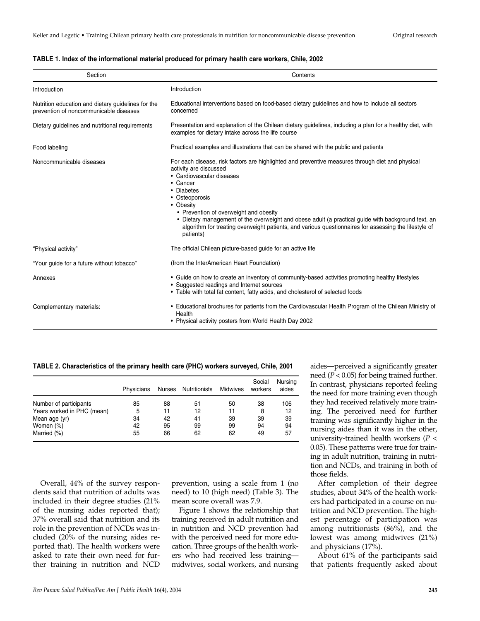| Section                                                                                      | Contents                                                                                                                                                                                                                                                                                                                                                                                                                                                                               |  |  |  |  |
|----------------------------------------------------------------------------------------------|----------------------------------------------------------------------------------------------------------------------------------------------------------------------------------------------------------------------------------------------------------------------------------------------------------------------------------------------------------------------------------------------------------------------------------------------------------------------------------------|--|--|--|--|
| Introduction                                                                                 | Introduction                                                                                                                                                                                                                                                                                                                                                                                                                                                                           |  |  |  |  |
| Nutrition education and dietary guidelines for the<br>prevention of noncommunicable diseases | Educational interventions based on food-based dietary guidelines and how to include all sectors<br>concerned                                                                                                                                                                                                                                                                                                                                                                           |  |  |  |  |
| Dietary guidelines and nutritional requirements                                              | Presentation and explanation of the Chilean dietary guidelines, including a plan for a healthy diet, with<br>examples for dietary intake across the life course                                                                                                                                                                                                                                                                                                                        |  |  |  |  |
| Food labeling                                                                                | Practical examples and illustrations that can be shared with the public and patients                                                                                                                                                                                                                                                                                                                                                                                                   |  |  |  |  |
| Noncommunicable diseases                                                                     | For each disease, risk factors are highlighted and preventive measures through diet and physical<br>activity are discussed<br>• Cardiovascular diseases<br>• Cancer<br>• Diabetes<br>• Osteoporosis<br>• Obesity<br>• Prevention of overweight and obesity<br>• Dietary management of the overweight and obese adult (a practical guide with background text, an<br>algorithm for treating overweight patients, and various questionnaires for assessing the lifestyle of<br>patients) |  |  |  |  |
| "Physical activity"                                                                          | The official Chilean picture-based guide for an active life                                                                                                                                                                                                                                                                                                                                                                                                                            |  |  |  |  |
| "Your guide for a future without tobacco"                                                    | (from the InterAmerican Heart Foundation)                                                                                                                                                                                                                                                                                                                                                                                                                                              |  |  |  |  |
| Annexes                                                                                      | • Guide on how to create an inventory of community-based activities promoting healthy lifestyles<br>• Suggested readings and Internet sources<br>• Table with total fat content, fatty acids, and cholesterol of selected foods                                                                                                                                                                                                                                                        |  |  |  |  |
| Complementary materials:                                                                     | • Educational brochures for patients from the Cardiovascular Health Program of the Chilean Ministry of<br>Health<br>• Physical activity posters from World Health Day 2002                                                                                                                                                                                                                                                                                                             |  |  |  |  |

| TABLE 1. Index of the informational material produced for primary health care workers. Chile, 2002 |  |  |  |
|----------------------------------------------------------------------------------------------------|--|--|--|
|----------------------------------------------------------------------------------------------------|--|--|--|

**TABLE 2. Characteristics of the primary health care (PHC) workers surveyed, Chile, 2001**

|                            | Physicians | Nurses | Nutritionists | Midwives | Social<br>workers | Nursing<br>aides |
|----------------------------|------------|--------|---------------|----------|-------------------|------------------|
| Number of participants     | 85         | 88     | 51            | 50       | 38                | 106              |
| Years worked in PHC (mean) | 5          | 11     | 12            | 11       | 8                 | 12               |
| Mean age (yr)              | 34         | 42     | 41            | 39       | 39                | 39               |
| Women (%)                  | 42         | 95     | 99            | 99       | 94                | 94               |
| Married (%)                | 55         | 66     | 62            | 62       | 49                | 57               |

Overall, 44% of the survey respondents said that nutrition of adults was included in their degree studies (21% of the nursing aides reported that); 37% overall said that nutrition and its role in the prevention of NCDs was included (20% of the nursing aides reported that). The health workers were asked to rate their own need for further training in nutrition and NCD

prevention, using a scale from 1 (no need) to 10 (high need) (Table 3). The mean score overall was 7.9.

Figure 1 shows the relationship that training received in adult nutrition and in nutrition and NCD prevention had with the perceived need for more education. Three groups of the health workers who had received less training midwives, social workers, and nursing

aides—perceived a significantly greater need (*P* < 0.05) for being trained further. In contrast, physicians reported feeling the need for more training even though they had received relatively more training. The perceived need for further training was significantly higher in the nursing aides than it was in the other, university-trained health workers (*P* < 0.05). These patterns were true for training in adult nutrition, training in nutrition and NCDs, and training in both of those fields.

After completion of their degree studies, about 34% of the health workers had participated in a course on nutrition and NCD prevention. The highest percentage of participation was among nutritionists (86%), and the lowest was among midwives (21%) and physicians (17%).

About 61% of the participants said that patients frequently asked about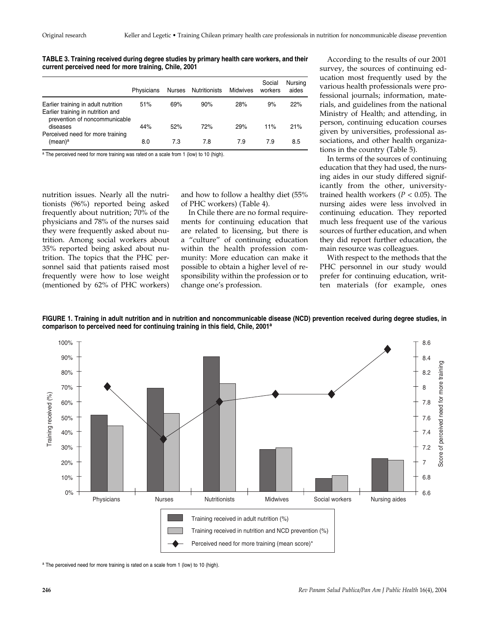**TABLE 3. Training received during degree studies by primary health care workers, and their current perceived need for more training, Chile, 2001** 

|                                                                                                           | Physicians | Nurses | Nutritionists | Midwives | Social<br>workers | Nursing<br>aides |
|-----------------------------------------------------------------------------------------------------------|------------|--------|---------------|----------|-------------------|------------------|
| Earlier training in adult nutrition<br>Earlier training in nutrition and<br>prevention of noncommunicable | 51%        | 69%    | 90%           | 28%      | 9%                | 22%              |
| diseases                                                                                                  | 44%        | 52%    | 72%           | 29%      | 11%               | 21%              |
| Perceived need for more training<br>(mean) <sup>a</sup>                                                   | 8.0        | 7.3    | 7.8           | 7.9      | 7.9               | 8.5              |

a The perceived need for more training was rated on a scale from 1 (low) to 10 (high).

nutrition issues. Nearly all the nutritionists (96%) reported being asked frequently about nutrition; 70% of the physicians and 78% of the nurses said they were frequently asked about nutrition. Among social workers about 35% reported being asked about nutrition. The topics that the PHC personnel said that patients raised most frequently were how to lose weight (mentioned by 62% of PHC workers)

and how to follow a healthy diet (55% of PHC workers) (Table 4).

In Chile there are no formal requirements for continuing education that are related to licensing, but there is a "culture" of continuing education within the health profession community: More education can make it possible to obtain a higher level of responsibility within the profession or to change one's profession.

According to the results of our 2001 survey, the sources of continuing education most frequently used by the various health professionals were professional journals; information, materials, and guidelines from the national Ministry of Health; and attending, in person, continuing education courses given by universities, professional associations, and other health organizations in the country (Table 5).

In terms of the sources of continuing education that they had used, the nursing aides in our study differed significantly from the other, universitytrained health workers ( $P < 0.05$ ). The nursing aides were less involved in continuing education. They reported much less frequent use of the various sources of further education, and when they did report further education, the main resource was colleagues.

With respect to the methods that the PHC personnel in our study would prefer for continuing education, written materials (for example, ones

**FIGURE 1. Training in adult nutrition and in nutrition and noncommunicable disease (NCD) prevention received during degree studies, in comparison to perceived need for continuing training in this field, Chile, 2001a**



a The perceived need for more training is rated on a scale from 1 (low) to 10 (high).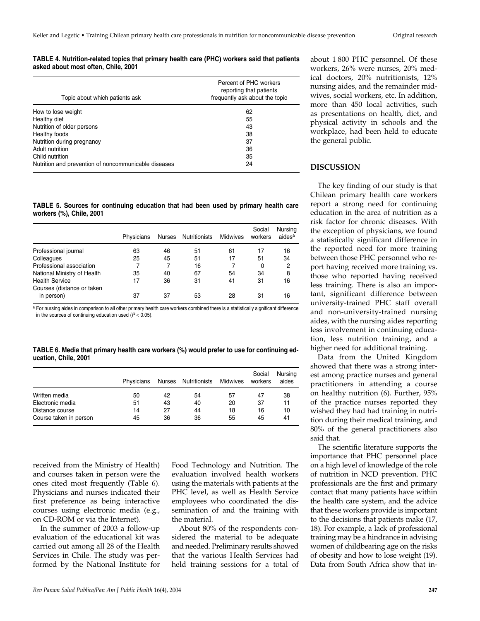#### **TABLE 4. Nutrition-related topics that primary health care (PHC) workers said that patients asked about most often, Chile, 2001**

| Topic about which patients ask                       | Percent of PHC workers<br>reporting that patients<br>frequently ask about the topic |
|------------------------------------------------------|-------------------------------------------------------------------------------------|
| How to lose weight                                   | 62                                                                                  |
| Healthy diet                                         | 55                                                                                  |
| Nutrition of older persons                           | 43                                                                                  |
| Healthy foods                                        | 38                                                                                  |
| Nutrition during pregnancy                           | 37                                                                                  |
| Adult nutrition                                      | 36                                                                                  |
| Child nutrition                                      | 35                                                                                  |
| Nutrition and prevention of noncommunicable diseases | 24                                                                                  |

**TABLE 5. Sources for continuing education that had been used by primary health care workers (%), Chile, 2001**

|                                                     | Physicians | Nurses | Nutritionists | Midwives | Social<br>workers | Nursing<br>aides <sup>a</sup> |
|-----------------------------------------------------|------------|--------|---------------|----------|-------------------|-------------------------------|
| Professional journal                                | 63         | 46     | 51            | 61       | 17                | 16                            |
| Colleagues                                          | 25         | 45     | 51            | 17       | 51                | 34                            |
| Professional association                            |            | 7      | 16            |          | 0                 | 2                             |
| National Ministry of Health                         | 35         | 40     | 67            | 54       | 34                | 8                             |
| <b>Health Service</b><br>Courses (distance or taken | 17         | 36     | 31            | 41       | 31                | 16                            |
| in person)                                          | 37         | 37     | 53            | 28       | 31                | 16                            |

a For nursing aides in comparison to all other primary health care workers combined there is a statistically significant difference in the sources of continuing education used  $(P < 0.05)$ .

**TABLE 6. Media that primary health care workers (%) would prefer to use for continuing education, Chile, 2001**

|                        | Physicians |    | Nurses Nutritionists | Midwives | Social<br>workers | Nursing<br>aides |
|------------------------|------------|----|----------------------|----------|-------------------|------------------|
| Written media          | 50         | 42 | 54                   | 57       | 47                | 38               |
| Electronic media       | 51         | 43 | 40                   | 20       | 37                | 11               |
| Distance course        | 14         | 27 | 44                   | 18       | 16                | 10               |
| Course taken in person | 45         | 36 | 36                   | 55       | 45                | 41               |

received from the Ministry of Health) and courses taken in person were the ones cited most frequently (Table 6). Physicians and nurses indicated their first preference as being interactive courses using electronic media (e.g., on CD-ROM or via the Internet).

In the summer of 2003 a follow-up evaluation of the educational kit was carried out among all 28 of the Health Services in Chile. The study was performed by the National Institute for

Food Technology and Nutrition. The evaluation involved health workers using the materials with patients at the PHC level, as well as Health Service employees who coordinated the dissemination of and the training with the material.

About 80% of the respondents considered the material to be adequate and needed. Preliminary results showed that the various Health Services had held training sessions for a total of

about 1 800 PHC personnel. Of these workers, 26% were nurses, 20% medical doctors, 20% nutritionists, 12% nursing aides, and the remainder midwives, social workers, etc. In addition, more than 450 local activities, such as presentations on health, diet, and physical activity in schools and the workplace, had been held to educate the general public.

# **DISCUSSION**

The key finding of our study is that Chilean primary health care workers report a strong need for continuing education in the area of nutrition as a risk factor for chronic diseases. With the exception of physicians, we found a statistically significant difference in the reported need for more training between those PHC personnel who report having received more training vs. those who reported having received less training. There is also an important, significant difference between university-trained PHC staff overall and non-university-trained nursing aides, with the nursing aides reporting less involvement in continuing education, less nutrition training, and a higher need for additional training.

Data from the United Kingdom showed that there was a strong interest among practice nurses and general practitioners in attending a course on healthy nutrition (6). Further, 95% of the practice nurses reported they wished they had had training in nutrition during their medical training, and 80% of the general practitioners also said that.

The scientific literature supports the importance that PHC personnel place on a high level of knowledge of the role of nutrition in NCD prevention. PHC professionals are the first and primary contact that many patients have within the health care system, and the advice that these workers provide is important to the decisions that patients make (17, 18). For example, a lack of professional training may be a hindrance in advising women of childbearing age on the risks of obesity and how to lose weight (19). Data from South Africa show that in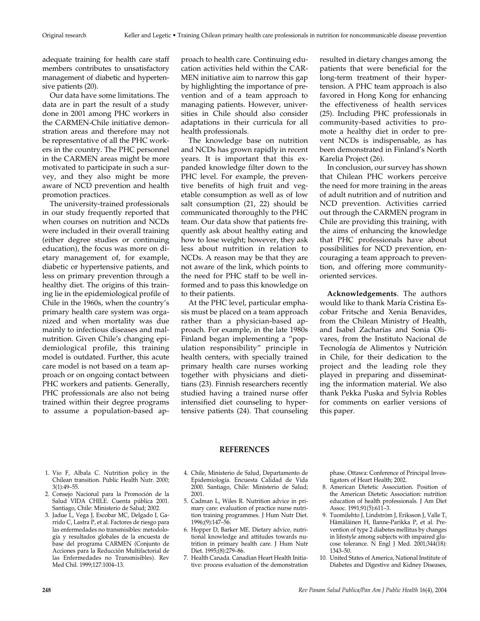adequate training for health care staff members contributes to unsatisfactory management of diabetic and hypertensive patients (20).

Our data have some limitations. The data are in part the result of a study done in 2001 among PHC workers in the CARMEN-Chile initiative demonstration areas and therefore may not be representative of all the PHC workers in the country. The PHC personnel in the CARMEN areas might be more motivated to participate in such a survey, and they also might be more aware of NCD prevention and health promotion practices.

The university-trained professionals in our study frequently reported that when courses on nutrition and NCDs were included in their overall training (either degree studies or continuing education), the focus was more on dietary management of, for example, diabetic or hypertensive patients, and less on primary prevention through a healthy diet. The origins of this training lie in the epidemiological profile of Chile in the 1960s, when the country's primary health care system was organized and when mortality was due mainly to infectious diseases and malnutrition. Given Chile's changing epidemiological profile, this training model is outdated. Further, this acute care model is not based on a team approach or on ongoing contact between PHC workers and patients. Generally, PHC professionals are also not being trained within their degree programs to assume a population-based ap-

proach to health care. Continuing education activities held within the CAR-MEN initiative aim to narrow this gap by highlighting the importance of prevention and of a team approach to managing patients. However, universities in Chile should also consider adaptations in their curricula for all health professionals.

The knowledge base on nutrition and NCDs has grown rapidly in recent years. It is important that this expanded knowledge filter down to the PHC level. For example, the preventive benefits of high fruit and vegetable consumption as well as of low salt consumption (21, 22) should be communicated thoroughly to the PHC team. Our data show that patients frequently ask about healthy eating and how to lose weight; however, they ask less about nutrition in relation to NCDs. A reason may be that they are not aware of the link, which points to the need for PHC staff to be well informed and to pass this knowledge on to their patients.

At the PHC level, particular emphasis must be placed on a team approach rather than a physician-based approach. For example, in the late 1980s Finland began implementing a "population responsibility" principle in health centers, with specially trained primary health care nurses working together with physicians and dietitians (23). Finnish researchers recently studied having a trained nurse offer intensified diet counseling to hypertensive patients (24). That counseling

resulted in dietary changes among the patients that were beneficial for the long-term treatment of their hypertension. A PHC team approach is also favored in Hong Kong for enhancing the effectiveness of health services (25). Including PHC professionals in community-based activities to promote a healthy diet in order to prevent NCDs is indispensable, as has been demonstrated in Finland's North Karelia Project (26).

In conclusion, our survey has shown that Chilean PHC workers perceive the need for more training in the areas of adult nutrition and of nutrition and NCD prevention. Activities carried out through the CARMEN program in Chile are providing this training, with the aims of enhancing the knowledge that PHC professionals have about possibilities for NCD prevention, encouraging a team approach to prevention, and offering more communityoriented services.

**Acknowledgements**. The authors would like to thank María Cristina Escobar Fritsche and Xenia Benavides, from the Chilean Ministry of Health, and Isabel Zacharías and Sonia Olivares, from the Instituto Nacional de Tecnología de Alimentos y Nutrición in Chile, for their dedication to the project and the leading role they played in preparing and disseminating the information material. We also thank Pekka Puska and Sylvia Robles for comments on earlier versions of this paper.

# **REFERENCES**

- 1. Vio F, Albala C. Nutrition policy in the Chilean transition. Public Health Nutr. 2000; 3(1):49–55.
- 2. Consejo Nacional para la Promoción de la Salud VIDA CHILE. Cuenta pública 2001. Santiago, Chile: Ministerio de Salud; 2002.
- 3. Jadue L, Vega J, Escobar MC, Delgado I, Garrido C, Lastra P, et al. Factores de riesgo para las enfermedades no transmisibles: metodología y resultados globales de la encuesta de base del programa CARMEN (Conjunto de Acciones para la Reducción Multifactorial de las Enfermedades no Transmisibles). Rev Med Chil. 1999;127:1004–13.
- 4. Chile, Ministerio de Salud, Departamento de Epidemiología. Encuesta Calidad de Vida 2000. Santiago, Chile: Ministerio de Salud; 2001.
- 5. Cadman L, Wiles R. Nutrition advice in primary care: evaluation of practice nurse nutrition training programmes. J Hum Nutr Diet. 1996;(9):147–56.
- 6. Hopper D, Barker ME. Dietary advice, nutritional knowledge and attitudes towards nutrition in primary health care. J Hum Nutr Diet. 1995;(8):279–86.
- 7. Health Canada. Canadian Heart Health Initiative: process evaluation of the demonstration

phase. Ottawa: Conference of Principal Investigators of Heart Health; 2002.

- 8. American Dietetic Association. Position of the American Dietetic Association: nutrition education of health professionals. J Am Diet Assoc. 1991;91(5):611–3.
- 9. Tuomilehto J, Lindström J, Eriksson J, Valle T, Hämäläinen H, Ilanne-Parikka P, et al. Prevention of type 2 diabetes mellitus by changes in lifestyle among subjects with impaired glucose tolerance. N Engl J Med. 2001;344(18): 1343–50.
- 10. United States of America, National Institute of Diabetes and Digestive and Kidney Diseases,